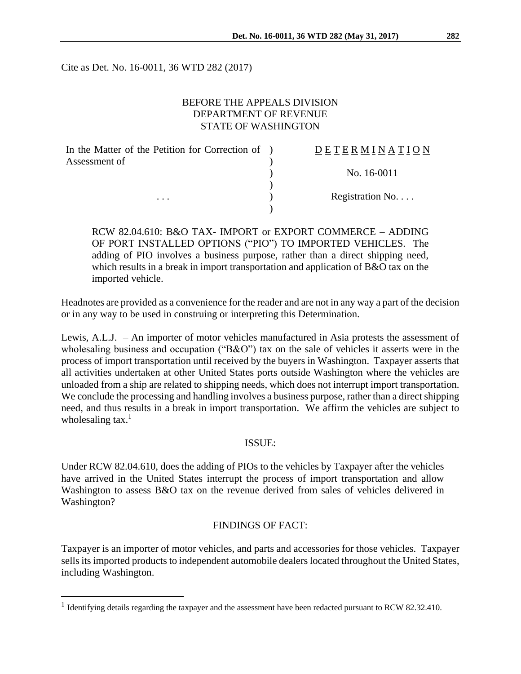Cite as Det. No. 16-0011, 36 WTD 282 (2017)

# BEFORE THE APPEALS DIVISION DEPARTMENT OF REVENUE STATE OF WASHINGTON

| In the Matter of the Petition for Correction of ) | DETERMINATION   |
|---------------------------------------------------|-----------------|
| Assessment of<br>$\cdots$                         |                 |
|                                                   | No. 16-0011     |
|                                                   |                 |
|                                                   | Registration No |
|                                                   |                 |

RCW 82.04.610: B&O TAX- IMPORT or EXPORT COMMERCE – ADDING OF PORT INSTALLED OPTIONS ("PIO") TO IMPORTED VEHICLES. The adding of PIO involves a business purpose, rather than a direct shipping need, which results in a break in import transportation and application of B&O tax on the imported vehicle.

Headnotes are provided as a convenience for the reader and are not in any way a part of the decision or in any way to be used in construing or interpreting this Determination.

Lewis, A.L.J. – An importer of motor vehicles manufactured in Asia protests the assessment of wholesaling business and occupation ("B&O") tax on the sale of vehicles it asserts were in the process of import transportation until received by the buyers in Washington. Taxpayer asserts that all activities undertaken at other United States ports outside Washington where the vehicles are unloaded from a ship are related to shipping needs, which does not interrupt import transportation. We conclude the processing and handling involves a business purpose, rather than a direct shipping need, and thus results in a break in import transportation. We affirm the vehicles are subject to wholesaling tax. $<sup>1</sup>$ </sup>

## ISSUE:

Under RCW 82.04.610, does the adding of PIOs to the vehicles by Taxpayer after the vehicles have arrived in the United States interrupt the process of import transportation and allow Washington to assess B&O tax on the revenue derived from sales of vehicles delivered in Washington?

## FINDINGS OF FACT:

Taxpayer is an importer of motor vehicles, and parts and accessories for those vehicles. Taxpayer sells its imported products to independent automobile dealers located throughout the United States, including Washington.

 $\overline{a}$ 

<sup>&</sup>lt;sup>1</sup> Identifying details regarding the taxpayer and the assessment have been redacted pursuant to RCW 82.32.410.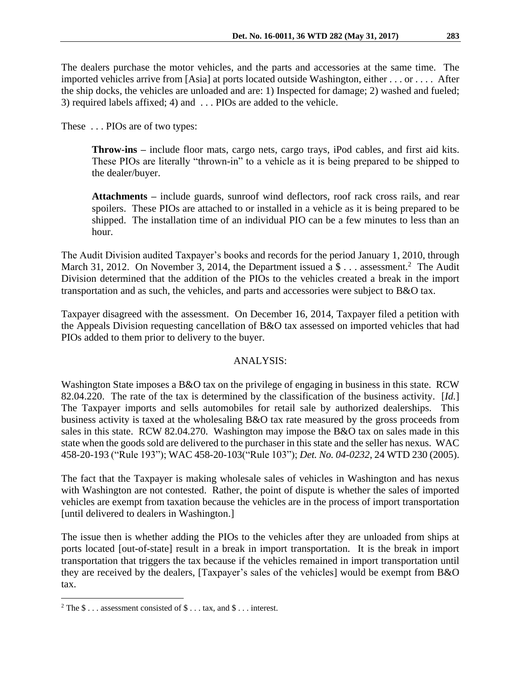The dealers purchase the motor vehicles, and the parts and accessories at the same time. The imported vehicles arrive from [Asia] at ports located outside Washington, either . . . or . . . . After the ship docks, the vehicles are unloaded and are: 1) Inspected for damage; 2) washed and fueled; 3) required labels affixed; 4) and . . . PIOs are added to the vehicle.

These . . . PIOs are of two types:

**Throw-ins –** include floor mats, cargo nets, cargo trays, iPod cables, and first aid kits. These PIOs are literally "thrown-in" to a vehicle as it is being prepared to be shipped to the dealer/buyer.

**Attachments –** include guards, sunroof wind deflectors, roof rack cross rails, and rear spoilers. These PIOs are attached to or installed in a vehicle as it is being prepared to be shipped. The installation time of an individual PIO can be a few minutes to less than an hour.

The Audit Division audited Taxpayer's books and records for the period January 1, 2010, through March 31, 2012. On November 3, 2014, the Department issued a  $\delta$ ... assessment.<sup>2</sup> The Audit Division determined that the addition of the PIOs to the vehicles created a break in the import transportation and as such, the vehicles, and parts and accessories were subject to B&O tax.

Taxpayer disagreed with the assessment. On December 16, 2014, Taxpayer filed a petition with the Appeals Division requesting cancellation of B&O tax assessed on imported vehicles that had PIOs added to them prior to delivery to the buyer.

## ANALYSIS:

Washington State imposes a B&O tax on the privilege of engaging in business in this state. RCW 82.04.220. The rate of the tax is determined by the classification of the business activity. [*Id.*] The Taxpayer imports and sells automobiles for retail sale by authorized dealerships. This business activity is taxed at the wholesaling B&O tax rate measured by the gross proceeds from sales in this state. RCW 82.04.270. Washington may impose the B&O tax on sales made in this state when the goods sold are delivered to the purchaser in this state and the seller has nexus. WAC 458-20-193 ("Rule 193"); WAC 458-20-103("Rule 103"); *Det. No. 04-0232*, 24 WTD 230 (2005).

The fact that the Taxpayer is making wholesale sales of vehicles in Washington and has nexus with Washington are not contested. Rather, the point of dispute is whether the sales of imported vehicles are exempt from taxation because the vehicles are in the process of import transportation [until delivered to dealers in Washington.]

The issue then is whether adding the PIOs to the vehicles after they are unloaded from ships at ports located [out-of-state] result in a break in import transportation. It is the break in import transportation that triggers the tax because if the vehicles remained in import transportation until they are received by the dealers, [Taxpayer's sales of the vehicles] would be exempt from B&O tax.

 $\overline{a}$ 

<sup>&</sup>lt;sup>2</sup> The  $\$\dots$  assessment consisted of  $\$\dots$  tax, and  $\$\dots$  interest.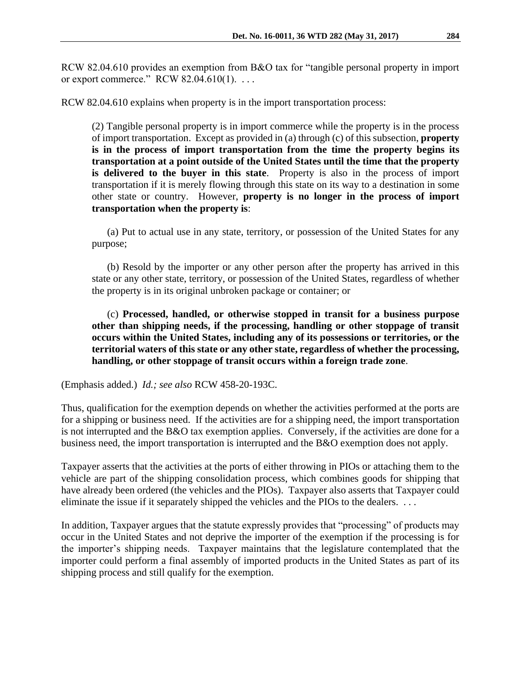RCW 82.04.610 provides an exemption from B&O tax for "tangible personal property in import or export commerce." RCW  $82.04.610(1)$ ...

RCW 82.04.610 explains when property is in the import transportation process:

(2) Tangible personal property is in import commerce while the property is in the process of import transportation. Except as provided in (a) through (c) of this subsection, **property is in the process of import transportation from the time the property begins its transportation at a point outside of the United States until the time that the property is delivered to the buyer in this state**. Property is also in the process of import transportation if it is merely flowing through this state on its way to a destination in some other state or country. However, **property is no longer in the process of import transportation when the property is**:

(a) Put to actual use in any state, territory, or possession of the United States for any purpose;

(b) Resold by the importer or any other person after the property has arrived in this state or any other state, territory, or possession of the United States, regardless of whether the property is in its original unbroken package or container; or

(c) **Processed, handled, or otherwise stopped in transit for a business purpose other than shipping needs, if the processing, handling or other stoppage of transit occurs within the United States, including any of its possessions or territories, or the territorial waters of this state or any other state, regardless of whether the processing, handling, or other stoppage of transit occurs within a foreign trade zone**.

(Emphasis added.) *Id.; see also* RCW 458-20-193C.

Thus, qualification for the exemption depends on whether the activities performed at the ports are for a shipping or business need. If the activities are for a shipping need, the import transportation is not interrupted and the B&O tax exemption applies. Conversely, if the activities are done for a business need, the import transportation is interrupted and the B&O exemption does not apply.

Taxpayer asserts that the activities at the ports of either throwing in PIOs or attaching them to the vehicle are part of the shipping consolidation process, which combines goods for shipping that have already been ordered (the vehicles and the PIOs). Taxpayer also asserts that Taxpayer could eliminate the issue if it separately shipped the vehicles and the PIOs to the dealers. ...

In addition, Taxpayer argues that the statute expressly provides that "processing" of products may occur in the United States and not deprive the importer of the exemption if the processing is for the importer's shipping needs. Taxpayer maintains that the legislature contemplated that the importer could perform a final assembly of imported products in the United States as part of its shipping process and still qualify for the exemption.